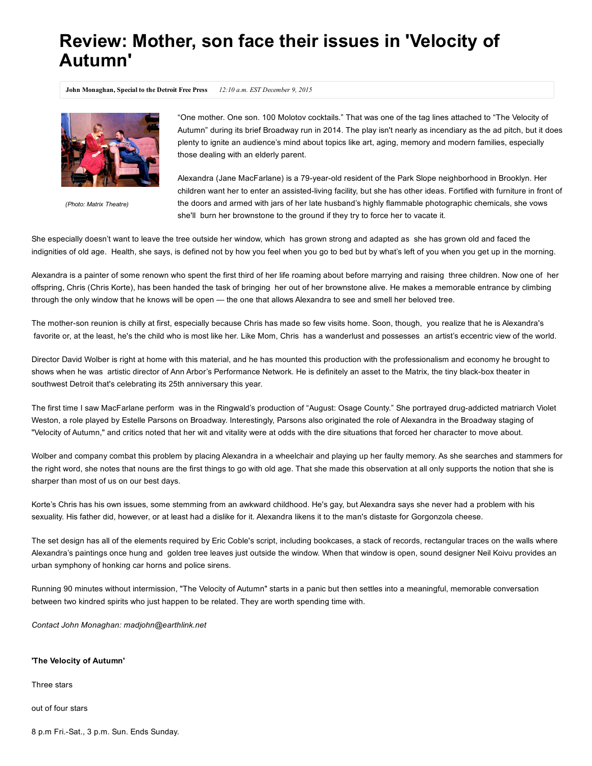## Review: Mother, son face their issues in 'Velocity of Autumn'

John Monaghan, Special to the Detroit Free Press 12:10 a.m. EST December 9, 2015



*(Photo: Matrix Theatre)*

"One mother. One son. 100 Molotov cocktails." That was one of the tag lines attached to "The Velocity of Autumn" during its brief Broadway run in 2014. The play isn't nearly as incendiary as the ad pitch, but it does plenty to ignite an audience's mind about topics like art, aging, memory and modern families, especially those dealing with an elderly parent.

Alexandra (Jane MacFarlane) is a 79-year-old resident of the Park Slope neighborhood in Brooklyn. Her children want her to enter an assisted-living facility, but she has other ideas. Fortified with furniture in front of the doors and armed with jars of her late husband's highly flammable photographic chemicals, she vows she'll burn her brownstone to the ground if they try to force her to vacate it.

She especially doesn't want to leave the tree outside her window, which has grown strong and adapted as she has grown old and faced the indignities of old age. Health, she says, is defined not by how you feel when you go to bed but by what's left of you when you get up in the morning.

Alexandra is a painter of some renown who spent the first third of her life roaming about before marrying and raising three children. Now one of her offspring, Chris (Chris Korte), has been handed the task of bringing her out of her brownstone alive. He makes a memorable entrance by climbing through the only window that he knows will be open — the one that allows Alexandra to see and smell her beloved tree.

The mother-son reunion is chilly at first, especially because Chris has made so few visits home. Soon, though, you realize that he is Alexandra's favorite or, at the least, he's the child who is most like her. Like Mom, Chris has a wanderlust and possesses an artist's eccentric view of the world.

Director David Wolber is right at home with this material, and he has mounted this production with the professionalism and economy he brought to shows when he was artistic director of Ann Arbor's Performance Network. He is definitely an asset to the Matrix, the tiny black-box theater in southwest Detroit that's celebrating its 25th anniversary this year.

The first time I saw MacFarlane perform was in the Ringwald's production of "August: Osage County." She portrayed drug-addicted matriarch Violet Weston, a role played by Estelle Parsons on Broadway. Interestingly, Parsons also originated the role of Alexandra in the Broadway staging of "Velocity of Autumn," and critics noted that her wit and vitality were at odds with the dire situations that forced her character to move about.

Wolber and company combat this problem by placing Alexandra in a wheelchair and playing up her faulty memory. As she searches and stammers for the right word, she notes that nouns are the first things to go with old age. That she made this observation at all only supports the notion that she is sharper than most of us on our best days.

Korte's Chris has his own issues, some stemming from an awkward childhood. He's gay, but Alexandra says she never had a problem with his sexuality. His father did, however, or at least had a dislike for it. Alexandra likens it to the man's distaste for Gorgonzola cheese.

The set design has all of the elements required by Eric Coble's script, including bookcases, a stack of records, rectangular traces on the walls where Alexandra's paintings once hung and golden tree leaves just outside the window. When that window is open, sound designer Neil Koivu provides an urban symphony of honking car horns and police sirens.

Running 90 minutes without intermission, "The Velocity of Autumn" starts in a panic but then settles into a meaningful, memorable conversation between two kindred spirits who just happen to be related. They are worth spending time with.

*Contact John Monaghan: madjohn@earthlink.net*

## 'The Velocity of Autumn'

Three stars

out of four stars

8 p.m Fri.-Sat., 3 p.m. Sun. Ends Sunday.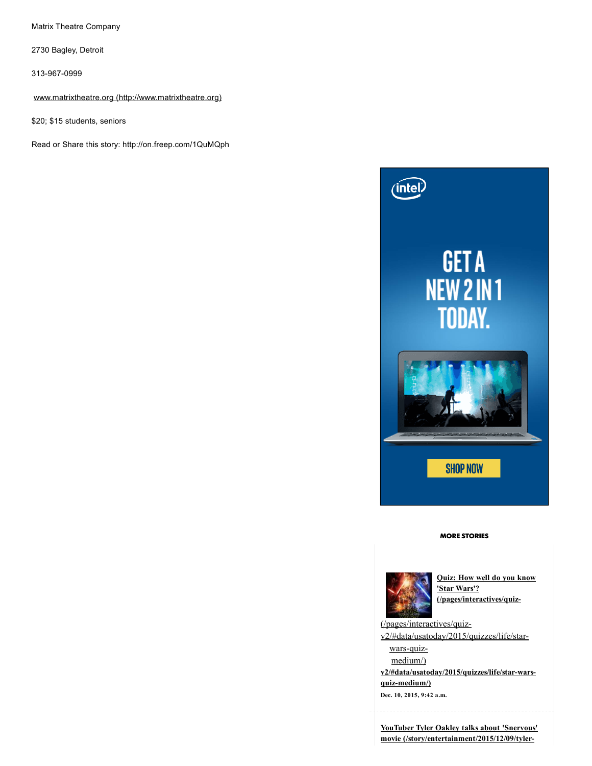Matrix Theatre Company

2730 Bagley, Detroit

313-967-0999

www.matrixtheatre.org [\(http://www.matrixtheatre.org\)](http://www.matrixtheatre.org/)

\$20; \$15 students, seniors

Read or Share this story: http://on.freep.com/1QuMQph



## MORE STORIES



Quiz: How well do you know 'Star Wars'? (/pages/interactives/quiz-

(/pages/interactives/quiz[v2/#data/usatoday/2015/quizzes/life/star](http://www.freep.com/pages/interactives/quiz-v2/#data/usatoday/2015/quizzes/life/star-wars-quiz-medium/)wars-quizmedium/)

v2/#data/usatoday/2015/quizzes/life/star-wars $quiz$ -medium/)

Dec. 10, 2015, 9:42 a.m.

YouTuber Tyler Oakley talks about 'Snervous' movie [\(/story/entertainment/2015/12/09/tyler-](http://www.freep.com/story/entertainment/2015/12/09/tyler-oakley-youtube-snervous-documentary-movie-detroit-michigan/77005506/)